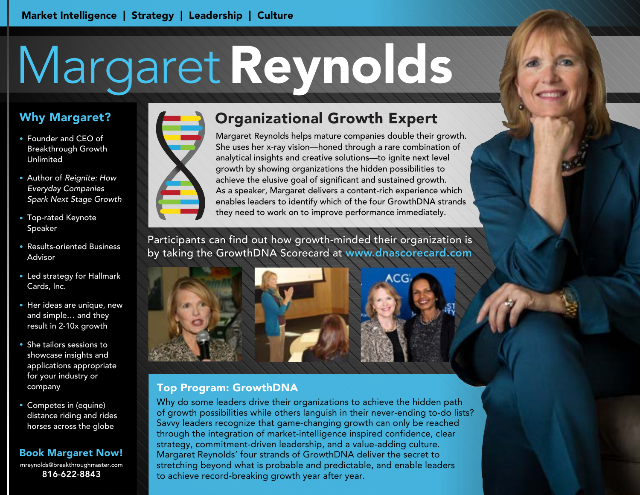# MargaretReynolds

# Why Margaret?

- Founder and CEO of Breakthrough Growth Unlimited
- Author of Reignite: How Everyday Companies Spark Next Stage Growth
- Top-rated Keynote Speaker
- Results-oriented Business Advisor
- Led strategy for Hallmark Cards, Inc.
- Her ideas are unique, new and simple… and they result in 2-10x growth
- She tailors sessions to showcase insights and applications appropriate for your industry or company
- Competes in (equine) distance riding and rides horses across the globe

### Book Margaret Now!

mreynolds@breakthroughmaster.com 816-622-8843



# Organizational Growth Expert

Margaret Reynolds helps mature companies double their growth. She uses her x-ray vision—honed through a rare combination of analytical insights and creative solutions—to ignite next level growth by showing organizations the hidden possibilities to achieve the elusive goal of significant and sustained growth. As a speaker, Margaret delivers a content-rich experience which enables leaders to identify which of the four GrowthDNA strands they need to work on to improve performance immediately.

Participants can find out how growth-minded their organization is by taking the GrowthDNA Scorecard at www.dnascorecard.com

## Top Program: GrowthDNA

Why do some leaders drive their organizations to achieve the hidden path of growth possibilities while others languish in their never-ending to-do lists? Savvy leaders recognize that game-changing growth can only be reached through the integration of market-intelligence inspired confidence, clear strategy, commitment-driven leadership, and a value-adding culture. Margaret Reynolds' four strands of GrowthDNA deliver the secret to stretching beyond what is probable and predictable, and enable leaders to achieve record-breaking growth year after year.